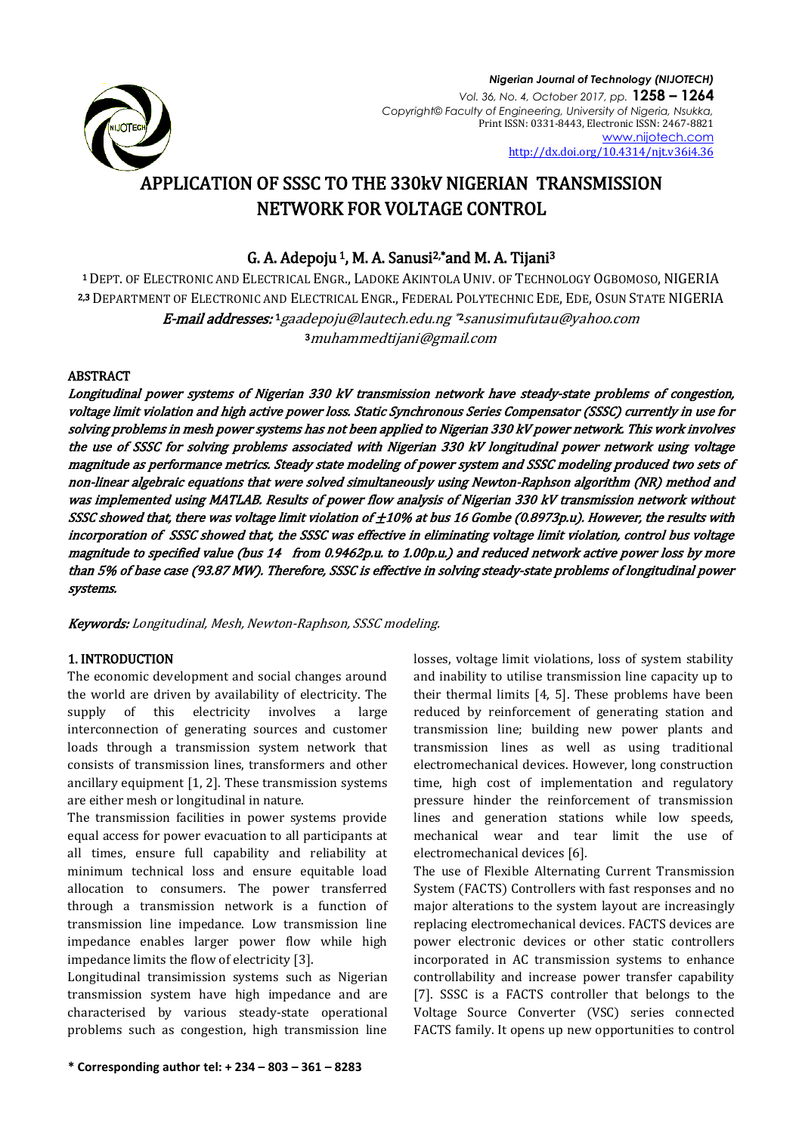

# APPLICATION OF SSSC TO THE 330kV NIGERIAN TRANSMISSION NETWORK FOR VOLTAGE CONTROL

# G. A. Adepoju <sup>1</sup>, M. A. Sanusi<sup>2,\*</sup> and M. A. Tijani<sup>3</sup>

<sup>1</sup>DEPT. OF ELECTRONIC AND ELECTRICAL ENGR., LADOKE AKINTOLA UNIV. OF TECHNOLOGY OGBOMOSO, NIGERIA 2,3 DEPARTMENT OF ELECTRONIC AND ELECTRICAL ENGR., FEDERAL POLYTECHNIC EDE, EDE, OSUN STATE NIGERIA **E-mail addresses: 1** [gaadepoju@lautech.edu.ng](mailto:1gaadepoju@lautech.edu.ng) \*2 sanusimufutau@yahoo.com <sup>3</sup>[muhammedtijani@gmail.com](mailto:3%20muhammedtijani@gmail.com)

# ABSTRACT

Longitudinal power systems of Nigerian 330 kV transmission network have steady-state problems of congestion, voltage limit violation and high active power loss. Static Synchronous Series Compensator (SSSC) currently in use for solving problems in mesh power systems has not been applied to Nigerian 330 kV power network. This work involves the use of SSSC for solving problems associated with Nigerian 330 kV longitudinal power network using voltage magnitude as performance metrics. Steady state modeling of power system and SSSC modeling produced two sets of non-linear algebraic equations that were solved simultaneously using Newton-Raphson algorithm (NR) method and was implemented using MATLAB. Results of power flow analysis of Nigerian 330 kV transmission network without SSSC showed that, there was voltage limit violation of  $\pm 10\%$  at bus 16 Gombe (0.8973p.u). However, the results with incorporation of SSSC showed that, the SSSC was effective in eliminating voltage limit violation, control bus voltage magnitude to specified value (bus 14 from 0.9462p.u. to 1.00p.u.) and reduced network active power loss by more than 5% of base case (93.87 MW). Therefore, SSSC is effective in solving steady-state problems of longitudinal power systems.

Keywords: Longitudinal, Mesh, Newton-Raphson, SSSC modeling.

# 1. INTRODUCTION

The economic development and social changes around the world are driven by availability of electricity. The supply of this electricity involves a large interconnection of generating sources and customer loads through a transmission system network that consists of transmission lines, transformers and other ancillary equipment [1, 2]. These transmission systems are either mesh or longitudinal in nature.

The transmission facilities in power systems provide equal access for power evacuation to all participants at all times, ensure full capability and reliability at minimum technical loss and ensure equitable load allocation to consumers. The power transferred through a transmission network is a function of transmission line impedance. Low transmission line impedance enables larger power flow while high impedance limits the flow of electricity [3].

Longitudinal transimission systems such as Nigerian transmission system have high impedance and are characterised by various steady-state operational problems such as congestion, high transmission line

losses, voltage limit violations, loss of system stability and inability to utilise transmission line capacity up to their thermal limits [4, 5]. These problems have been reduced by reinforcement of generating station and transmission line; building new power plants and transmission lines as well as using traditional electromechanical devices. However, long construction time, high cost of implementation and regulatory pressure hinder the reinforcement of transmission lines and generation stations while low speeds, mechanical wear and tear limit the use of electromechanical devices [6].

The use of Flexible Alternating Current Transmission System (FACTS) Controllers with fast responses and no major alterations to the system layout are increasingly replacing electromechanical devices. FACTS devices are power electronic devices or other static controllers incorporated in AC transmission systems to enhance controllability and increase power transfer capability [7]. SSSC is a FACTS controller that belongs to the Voltage Source Converter (VSC) series connected FACTS family. It opens up new opportunities to control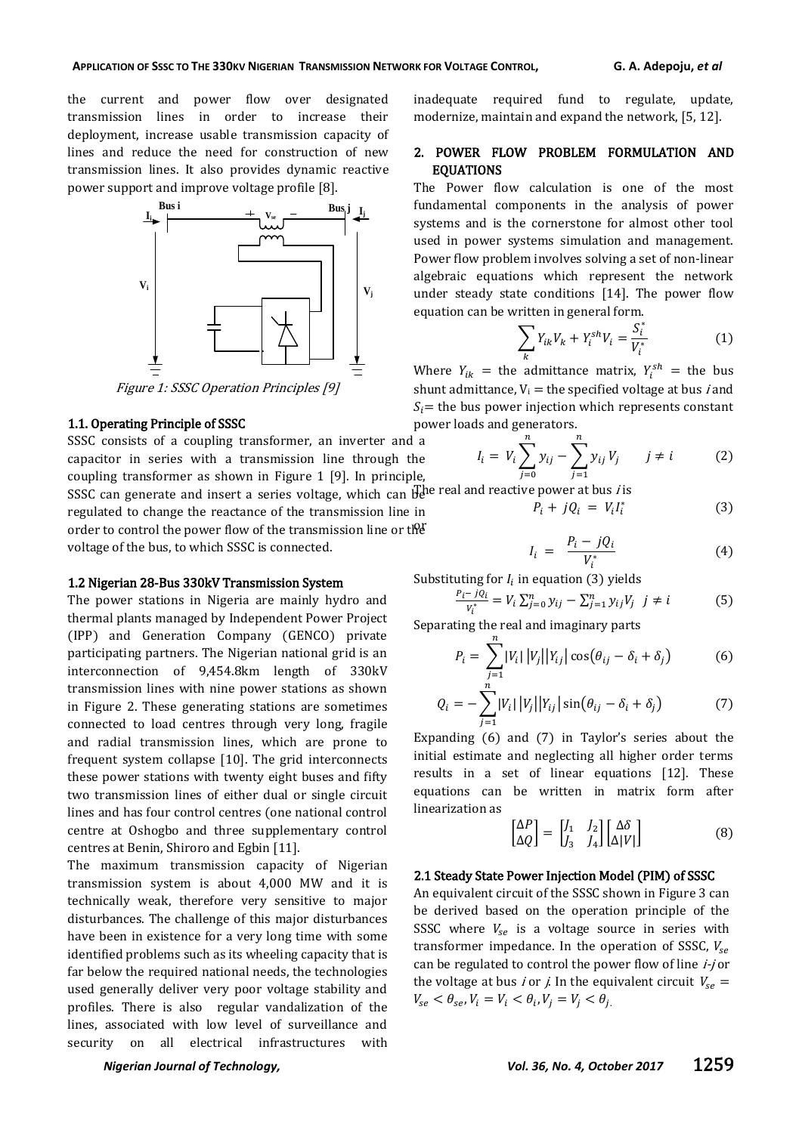the current and power flow over designated transmission lines in order to increase their deployment, increase usable transmission capacity of lines and reduce the need for construction of new transmission lines. It also provides dynamic reactive power support and improve voltage profile [8].



Figure 1: SSSC Operation Principles [9]

### 1.1. Operating Principle of SSSC

SSSC consists of a coupling transformer, an inverter and a capacitor in series with a transmission line through the coupling transformer as shown in Figure 1 [9]. In principle,

SSSC can generate and insert a series voltage, which can  $\mathbb{H}^{\text{he}}$  real and reactive power at bus *i* is regulated to change the reactance of the transmission line in order to control the power flow of the transmission line or the voltage of the bus, to which SSSC is connected.

### 1.2 Nigerian 28-Bus 330kV Transmission System

The power stations in Nigeria are mainly hydro and thermal plants managed by Independent Power Project (IPP) and Generation Company (GENCO) private participating partners. The Nigerian national grid is an interconnection of 9,454.8km length of 330kV transmission lines with nine power stations as shown in Figure 2. These generating stations are sometimes connected to load centres through very long, fragile and radial transmission lines, which are prone to frequent system collapse [10]. The grid interconnects these power stations with twenty eight buses and fifty two transmission lines of either dual or single circuit lines and has four control centres (one national control centre at Oshogbo and three supplementary control centres at Benin, Shiroro and Egbin [11].

The maximum transmission capacity of Nigerian transmission system is about 4,000 MW and it is technically weak, therefore very sensitive to major disturbances. The challenge of this major disturbances have been in existence for a very long time with some identified problems such as its wheeling capacity that is far below the required national needs, the technologies used generally deliver very poor voltage stability and profiles. There is also regular vandalization of the lines, associated with low level of surveillance and security on all electrical infrastructures with

inadequate required fund to regulate, update, modernize, maintain and expand the network, [5, 12].

### 2. POWER FLOW PROBLEM FORMULATION AND EQUATIONS

The Power flow calculation is one of the most fundamental components in the analysis of power systems and is the cornerstone for almost other tool used in power systems simulation and management. Power flow problem involves solving a set of non-linear algebraic equations which represent the network under steady state conditions [14]. The power flow equation can be written in general form.

$$
\sum_{k} Y_{ik} V_{k} + Y_{i}^{sh} V_{i} = \frac{S_{i}^{*}}{V_{i}^{*}}
$$
 (1)

Where  $Y_{ik}$  = the admittance matrix,  $Y_i^{sh}$  = the bus shunt admittance,  $V_i$  = the specified voltage at bus *i* and  $S_i$  = the bus power injection which represents constant power loads and generators.

$$
I_i = V_i \sum_{j=0}^{n} y_{ij} - \sum_{j=1}^{n} y_{ij} V_j \qquad j \neq i
$$
 (2)

$$
P_i + jQ_i = V_i I_i^* \tag{3}
$$

$$
I_i = \frac{P_i - jQ_i}{V_i^*} \tag{4}
$$

Substituting for  $I_i$  in equation (3) yields

$$
\frac{P_i - jQ_i}{V_i^*} = V_i \sum_{j=0}^n y_{ij} - \sum_{j=1}^n y_{ij} V_j \ \ j \neq i \tag{5}
$$

Separating the real and imaginary parts

 $\boldsymbol{n}$ 

$$
P_i = \sum_{j=1}^{|V_i|} |V_j||Y_{ij}| \cos(\theta_{ij} - \delta_i + \delta_j)
$$
 (6)

$$
Q_i = -\sum_{j=1}^n |V_i| |V_j| |Y_{ij}| \sin(\theta_{ij} - \delta_i + \delta_j)
$$
 (7)

Expanding  $(6)$  and  $(7)$  in Taylor's series about the initial estimate and neglecting all higher order terms results in a set of linear equations [12]. These equations can be written in matrix form after linearization as

$$
\begin{bmatrix} \Delta P \\ \Delta Q \end{bmatrix} = \begin{bmatrix} J_1 & J_2 \\ J_3 & J_4 \end{bmatrix} \begin{bmatrix} \Delta \delta \\ \Delta |V| \end{bmatrix}
$$
 (8)

### 2.1 Steady State Power Injection Model (PIM) of SSSC

An equivalent circuit of the SSSC shown in Figure 3 can be derived based on the operation principle of the SSSC where  $V_{se}$  is a voltage source in series with transformer impedance. In the operation of SSSC,  $V_{se}$ can be regulated to control the power flow of line *i-j* or the voltage at bus *i* or *j*. In the equivalent circuit  $V_{se}$  =  $V_{se} < \theta_{se}$ ,  $V_i = V_i < \theta_i$ ,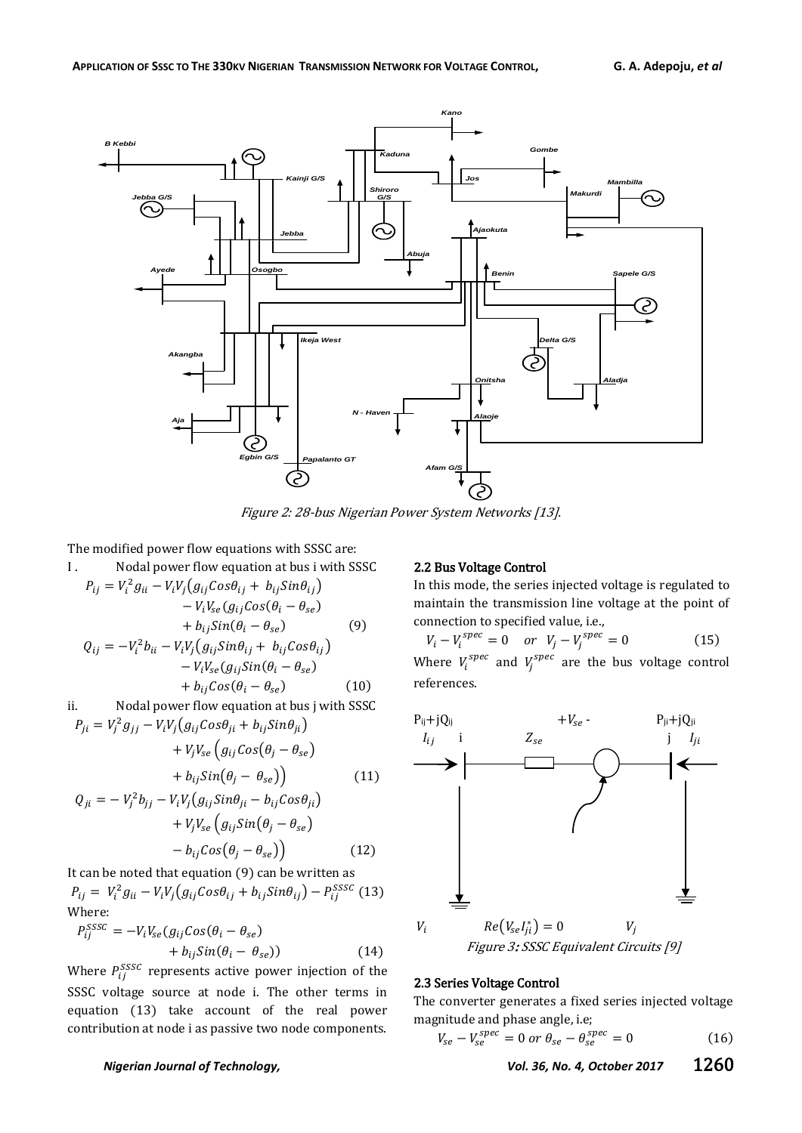

Figure 2: 28-bus Nigerian Power System Networks [13].

The modified power flow equations with SSSC are:

I. Nodal power flow equation at bus i with SSSC  
\n
$$
P_{ij} = V_i^2 g_{ii} - V_i V_j (g_{ij} Cos \theta_{ij} + b_{ij} Sin \theta_{ij}) - V_i V_{se} (g_{ij} Cos (\theta_i - \theta_{se}) + b_{ij} Sin (\theta_i - \theta_{se})
$$
\n(9)  
\n
$$
Q_{ij} = -V_i^2 b_{ii} - V_i V_j (g_{ij} Sin \theta_{ij} + b_{ij} Cos \theta_{ij}) - V_i V_{se} (g_{ij} Sin (\theta_i - \theta_{se}) + b_{ij} Cos (\theta_i - \theta_{se})
$$
\n(10)  
\nii. Nodal power flow equation at bus j with SSSC

 $P_{ii} = V_i^2 g_{ii} - V_i V_i (g_{ii} Cos\theta_{ii} + b_{ii} Sin\theta_{ii})$ 

+ 
$$
V_j V_{se} \left( g_{ij} Cos(\theta_j - \theta_{se}) \right)
$$
  
+  $b_{ij} Sin(\theta_j - \theta_{se})$  (11)  
=  $-V_j^2 b_{jj} - V_i V_j (g_{ij} Sin\theta_{ji} - b_{ij} Cos\theta_{ji})$   
+  $V_j V_{se} \left( g_{ij} Sin(\theta_j - \theta_{se}) \right)$ 

 $Q_{ji}$ 

$$
-b_{ij}Cos(\theta_j - \theta_{se})\big) \tag{12}
$$

It can be noted that equation (9) can be written as  $P_{ii} = V_i^2 g_{ii} - V_i V_i (g_{ii} Cos\theta_{ii} + b_{ii} Sin\theta_{ii}) - P_{ii}^S$ Where:

$$
P_{ij}^{SSSC} = -V_i V_{se}(g_{ij} Cos(\theta_i - \theta_{se}) + b_{ij} Sin(\theta_i - \theta_{se}))
$$
\n(14)

Where  $P_{ii}^{SSSC}$  represents active power injection of the SSSC voltage source at node i. The other terms in equation (13) take account of the real power contribution at node i as passive two node components.

# 2.2 Bus Voltage Control

In this mode, the series injected voltage is regulated to maintain the transmission line voltage at the point of connection to specified value, i.e.,

 $V_i - V_i^{spec} = 0$  or  $V_i - V_i^s$  $(15)$ Where  $V_i^{spec}$  and  $V_i^{spec}$  are the bus voltage control references.



# 2.3 Series Voltage Control

The converter generates a fixed series injected voltage magnitude and phase angle, i.e;

$$
V_{se} - V_{se}^{spec} = 0 \text{ or } \theta_{se} - \theta_{se}^{spec} = 0 \tag{16}
$$

*Nigerian Journal of Technology, Vol. 36, No. 4, October 2017* 1260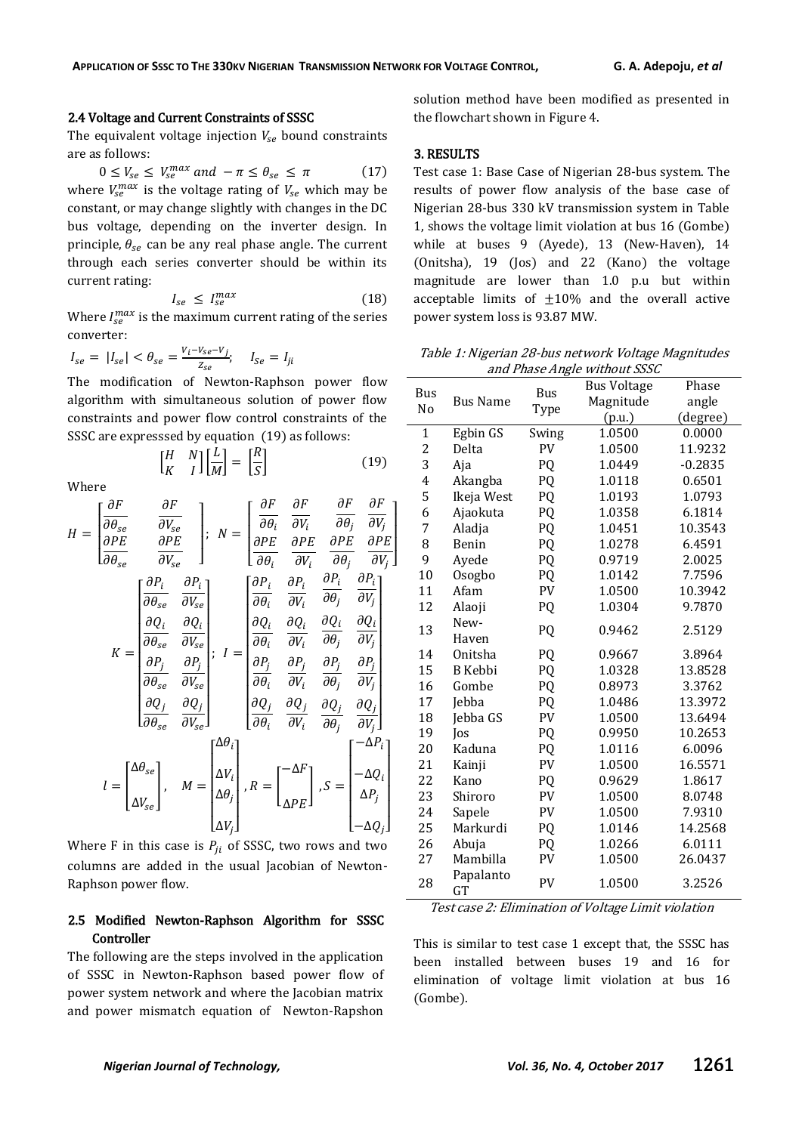### 2.4 Voltage and Current Constraints of SSSC

The equivalent voltage injection  $V_{se}$  bound constraints are as follows:

 $0 \leq V_{se} \leq V_{se}^m$  $(17)$ where  $V_{se}^{max}$  is the voltage rating of  $V_{se}$  which may be constant, or may change slightly with changes in the DC bus voltage, depending on the inverter design. In principle,  $\theta_{se}$  can be any real phase angle. The current through each series converter should be within its current rating:

$$
I_{se} \le I_{se}^{max} \tag{18}
$$

 $\begin{array}{|c|c|c|c|c|}\n\hline\n\end{array}$ 

Where  $I_{se}^{max}$  is the maximum current rating of the series converter:

$$
I_{se} = |I_{se}| < \theta_{se} = \frac{V_i - V_{se} - V_j}{Z_{se}}; \quad I_{Se} = I_{ji}
$$

 $\left[\begin{smallmatrix} H \\[1mm] U \end{smallmatrix}\right]$  $\begin{bmatrix} H & N \\ K & I \end{bmatrix} \begin{bmatrix} \frac{L}{M} \end{bmatrix}$ 

The modification of Newton-Raphson power flow algorithm with simultaneous solution of power flow constraints and power flow control constraints of the SSSC are expresssed by equation (19) as follows:

> $\left[\frac{L}{M}\right] = \left[\frac{R}{S}\right]$ S

Where

$$
H = \begin{bmatrix} \frac{\partial F}{\partial \theta_{se}} & \frac{\partial F}{\partial V_{se}} \\ \frac{\partial PE}{\partial \theta_{se}} & \frac{\partial PE}{\partial V_{se}} \end{bmatrix}; N = \begin{bmatrix} \frac{\partial F}{\partial \theta_{i}} & \frac{\partial F}{\partial V_{i}} & \frac{\partial F}{\partial \theta_{j}} & \frac{\partial F}{\partial V_{j}} \\ \frac{\partial PE}{\partial \theta_{i}} & \frac{\partial PE}{\partial V_{i}} & \frac{\partial PE}{\partial \theta_{j}} & \frac{\partial PE}{\partial V_{j}} \end{bmatrix}
$$

$$
K = \begin{bmatrix} \frac{\partial P_{i}}{\partial \theta_{se}} & \frac{\partial P_{i}}{\partial V_{se}} \\ \frac{\partial Q_{i}}{\partial \theta_{se}} & \frac{\partial Q_{i}}{\partial V_{se}} \\ \frac{\partial P_{j}}{\partial \theta_{se}} & \frac{\partial P_{j}}{\partial V_{se}} \end{bmatrix}; I = \begin{bmatrix} \frac{\partial P_{i}}{\partial \theta_{i}} & \frac{\partial P_{i}}{\partial V_{i}} & \frac{\partial P_{i}}{\partial \theta_{j}} & \frac{\partial P_{i}}{\partial V_{j}} \\ \frac{\partial Q_{i}}{\partial \theta_{i}} & \frac{\partial Q_{i}}{\partial V_{i}} & \frac{\partial Q_{i}}{\partial \theta_{j}} & \frac{\partial Q_{i}}{\partial V_{j}} \\ \frac{\partial P_{j}}{\partial \theta_{se}} & \frac{\partial Q_{j}}{\partial V_{se}} \end{bmatrix}; I = \begin{bmatrix} \frac{\partial P_{i}}{\partial \theta_{i}} & \frac{\partial P_{i}}{\partial V_{i}} & \frac{\partial P_{i}}{\partial \theta_{j}} & \frac{\partial P_{j}}{\partial V_{j}} \\ \frac{\partial Q_{j}}{\partial \theta_{i}} & \frac{\partial Q_{j}}{\partial V_{i}} & \frac{\partial P_{j}}{\partial \theta_{j}} & \frac{\partial P_{j}}{\partial V_{j}} \\ \frac{\partial Q_{j}}{\partial \theta_{i}} & \frac{\partial Q_{j}}{\partial V_{i}} & \frac{\partial Q_{j}}{\partial \theta_{j}} & \frac{\partial Q_{j}}{\partial V_{j}} \end{bmatrix}
$$

$$
l = \begin{bmatrix} \Delta \theta_{se} \\ \Delta V_{se} \end{bmatrix}, M = \begin{bmatrix} \Delta \theta_{i} \\ \Delta V_{i} \\ \Delta \theta_{j} \end{bmatrix}, R = \begin{bmatrix} -\Delta F \\ \Delta PE \end{b
$$

Where F in this case is  $P_{ii}$  of SSSC, two rows and two columns are added in the usual Jacobian of Newton-Raphson power flow.

# 2.5 Modified Newton-Raphson Algorithm for SSSC Controller

The following are the steps involved in the application of SSSC in Newton-Raphson based power flow of power system network and where the Jacobian matrix and power mismatch equation of Newton-Rapshon solution method have been modified as presented in the flowchart shown in Figure 4.

### 3. RESULTS

Test case 1: Base Case of Nigerian 28-bus system. The results of power flow analysis of the base case of Nigerian 28-bus 330 kV transmission system in Table 1, shows the voltage limit violation at bus 16 (Gombe) while at buses 9 (Ayede), 13 (New-Haven), 14 (Onitsha), 19 (Jos) and 22 (Kano) the voltage magnitude are lower than 1.0 p.u but within acceptable limits of  $\pm 10\%$  and the overall active power system loss is 93.87 MW.

Table 1: Nigerian 28-bus network Voltage Magnitudes and Phase Angle without SSSC

| Bus<br>No      | <b>Bus Name</b>        | Bus<br>Type | <b>Bus Voltage</b> | Phase     |
|----------------|------------------------|-------------|--------------------|-----------|
|                |                        |             | Magnitude          | angle     |
|                |                        |             | (p.u.)             | (degree)  |
| $\mathbf{1}$   | Egbin GS               | Swing       | 1.0500             | 0.0000    |
| $\overline{c}$ | Delta                  | PV          | 1.0500             | 11.9232   |
| 3              | Aja                    | PQ          | 1.0449             | $-0.2835$ |
| $\overline{4}$ | Akangba                | PQ          | 1.0118             | 0.6501    |
| 5              | Ikeja West             | PQ          | 1.0193             | 1.0793    |
| 6              | Ajaokuta               | PQ          | 1.0358             | 6.1814    |
| 7              | Aladja                 | PQ          | 1.0451             | 10.3543   |
| 8              | Benin                  | PQ          | 1.0278             | 6.4591    |
| 9              | Ayede                  | PQ          | 0.9719             | 2.0025    |
| 10             | Osogbo                 | PQ          | 1.0142             | 7.7596    |
| 11             | Afam                   | PV          | 1.0500             | 10.3942   |
| 12             | Alaoji                 | PQ          | 1.0304             | 9.7870    |
| 13             | New-                   | PQ          | 0.9462             | 2.5129    |
|                | Haven                  |             |                    |           |
| 14             | Onitsha                | PQ          | 0.9667             | 3.8964    |
| 15             | <b>B</b> Kebbi         | PQ          | 1.0328             | 13.8528   |
| 16             | Gombe                  | PQ          | 0.8973             | 3.3762    |
| 17             | Jebba                  | PQ          | 1.0486             | 13.3972   |
| 18             | Jebba GS               | PV          | 1.0500             | 13.6494   |
| 19             | Jos                    | PQ          | 0.9950             | 10.2653   |
| 20             | Kaduna                 | PQ          | 1.0116             | 6.0096    |
| 21             | Kainji                 | PV          | 1.0500             | 16.5571   |
| 22             | Kano                   | PQ          | 0.9629             | 1.8617    |
| 23             | Shiroro                | PV          | 1.0500             | 8.0748    |
| 24             | Sapele                 | PV          | 1.0500             | 7.9310    |
| 25             | Markurdi               | PQ          | 1.0146             | 14.2568   |
| 26             | Abuja                  | PQ          | 1.0266             | 6.0111    |
| 27             | Mambilla               | PV          | 1.0500             | 26.0437   |
| 28             | Papalanto<br><b>GT</b> | PV          | 1.0500             | 3.2526    |

Test case 2: Elimination of Voltage Limit violation

This is similar to test case 1 except that, the SSSC has been installed between buses 19 and 16 for elimination of voltage limit violation at bus 16 (Gombe).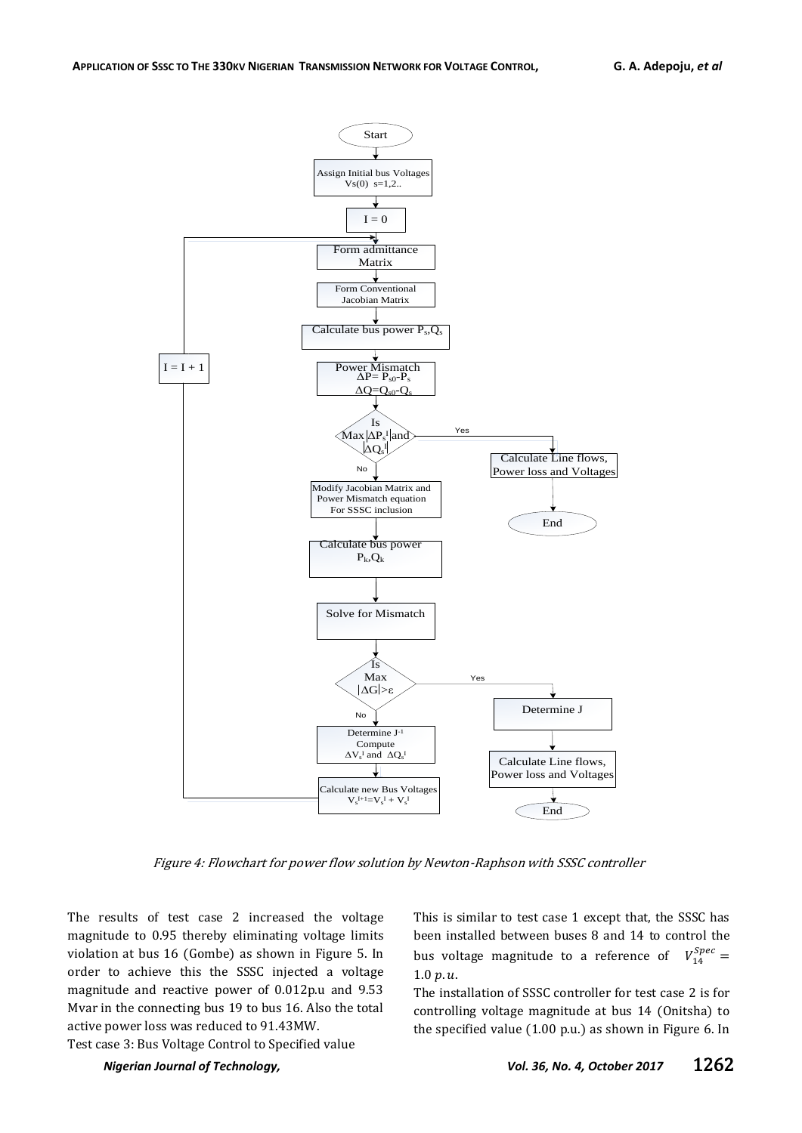

Figure 4: Flowchart for power flow solution by Newton-Raphson with SSSC controller

The results of test case 2 increased the voltage magnitude to 0.95 thereby eliminating voltage limits violation at bus 16 (Gombe) as shown in Figure 5. In order to achieve this the SSSC injected a voltage magnitude and reactive power of 0.012p.u and 9.53 Mvar in the connecting bus 19 to bus 16. Also the total active power loss was reduced to 91.43MW.

This is similar to test case 1 except that, the SSSC has been installed between buses 8 and 14 to control the bus voltage magnitude to a reference of  $V_1^S$  $1.0 v.u.$ 

The installation of SSSC controller for test case 2 is for controlling voltage magnitude at bus 14 (Onitsha) to the specified value (1.00 p.u.) as shown in Figure 6. In

Test case 3: Bus Voltage Control to Specified value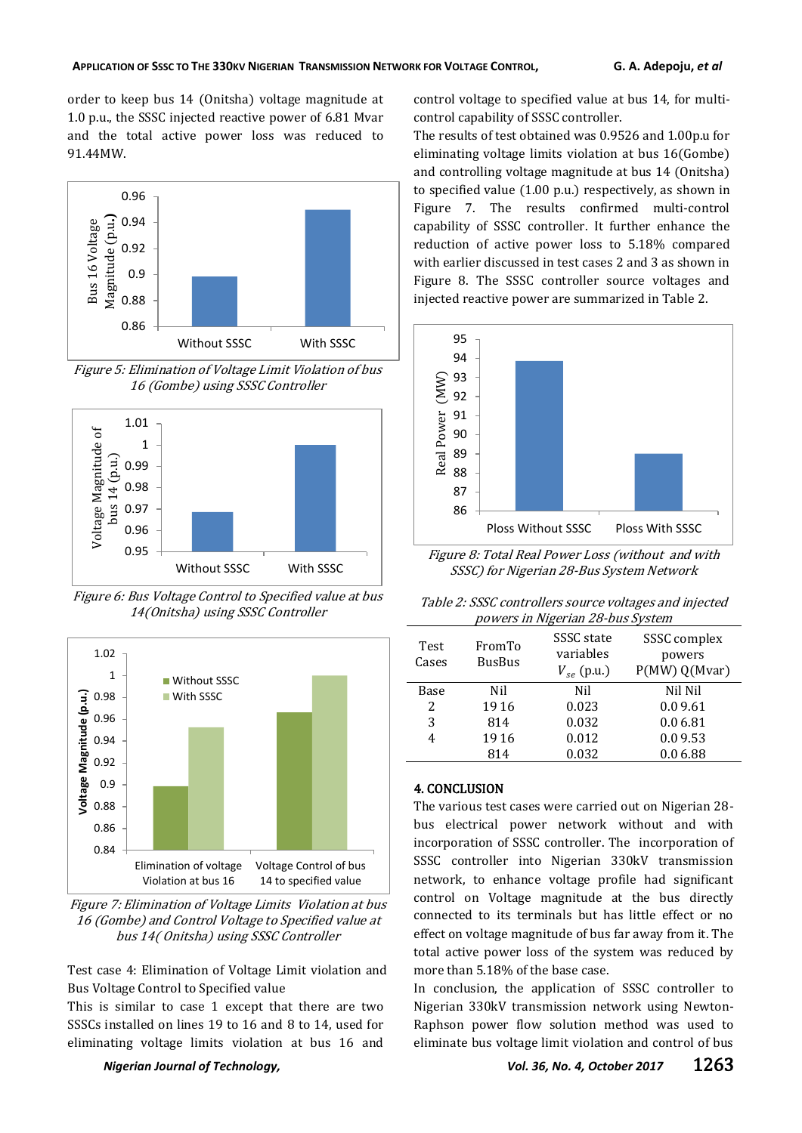order to keep bus 14 (Onitsha) voltage magnitude at 1.0 p.u., the SSSC injected reactive power of 6.81 Mvar and the total active power loss was reduced to 91.44MW.



Figure 5: Elimination of Voltage Limit Violation of bus 16 (Gombe) using SSSC Controller



Figure 6: Bus Voltage Control to Specified value at bus 14(Onitsha) using SSSC Controller



Figure 7: Elimination of Voltage Limits Violation at bus 16 (Gombe) and Control Voltage to Specified value at bus 14( Onitsha) using SSSC Controller

Test case 4: Elimination of Voltage Limit violation and Bus Voltage Control to Specified value

This is similar to case 1 except that there are two SSSCs installed on lines 19 to 16 and 8 to 14, used for eliminating voltage limits violation at bus 16 and

control voltage to specified value at bus 14, for multicontrol capability of SSSC controller.

The results of test obtained was 0.9526 and 1.00p.u for eliminating voltage limits violation at bus 16(Gombe) and controlling voltage magnitude at bus 14 (Onitsha) to specified value (1.00 p.u.) respectively, as shown in Figure 7. The results confirmed multi-control capability of SSSC controller. It further enhance the reduction of active power loss to 5.18% compared with earlier discussed in test cases 2 and 3 as shown in Figure 8. The SSSC controller source voltages and injected reactive power are summarized in Table 2.



Figure 8: Total Real Power Loss (without and with SSSC) for Nigerian 28-Bus System Network

Table 2: SSSC controllers source voltages and injected powers in Nigerian 28-bus System

| <b>Test</b><br>Cases | FromTo<br><b>BusBus</b> | SSSC state<br>variables<br>$V_{se}$ (p.u.) | SSSC complex<br>powers<br>P(MW) Q(Mvar) |
|----------------------|-------------------------|--------------------------------------------|-----------------------------------------|
| Base                 | Nil                     | Nil                                        | Nil Nil                                 |
| 2                    | 1916                    | 0.023                                      | 0.09.61                                 |
| 3                    | 814                     | 0.032                                      | 0.0 6.81                                |
| 4                    | 1916                    | 0.012                                      | 0.09.53                                 |
|                      | 814                     | 0.032                                      | 0.0 6.88                                |

# 4. CONCLUSION

The various test cases were carried out on Nigerian 28 bus electrical power network without and with incorporation of SSSC controller. The incorporation of SSSC controller into Nigerian 330kV transmission network, to enhance voltage profile had significant control on Voltage magnitude at the bus directly connected to its terminals but has little effect or no effect on voltage magnitude of bus far away from it. The total active power loss of the system was reduced by more than 5.18% of the base case.

In conclusion, the application of SSSC controller to Nigerian 330kV transmission network using Newton-Raphson power flow solution method was used to eliminate bus voltage limit violation and control of bus